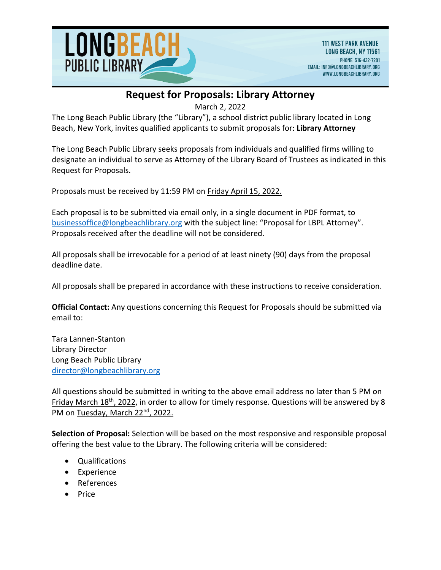

March 2, 2022

The Long Beach Public Library (the "Library"), a school district public library located in Long Beach, New York, invites qualified applicants to submit proposals for: **Library Attorney** 

The Long Beach Public Library seeks proposals from individuals and qualified firms willing to designate an individual to serve as Attorney of the Library Board of Trustees as indicated in this Request for Proposals.

Proposals must be received by 11:59 PM on Friday April 15, 2022.

Each proposal is to be submitted via email only, in a single document in PDF format, to [businessoffice@longbeachlibrary.org](mailto:businessoffice@longbeachlibrary.org) with the subject line: "Proposal for LBPL Attorney". Proposals received after the deadline will not be considered.

All proposals shall be irrevocable for a period of at least ninety (90) days from the proposal deadline date.

All proposals shall be prepared in accordance with these instructions to receive consideration.

**Official Contact:** Any questions concerning this Request for Proposals should be submitted via email to:

Tara Lannen-Stanton Library Director Long Beach Public Library [director@longbeachlibrary.org](mailto:director@longbeachlibrary.org)

All questions should be submitted in writing to the above email address no later than 5 PM on Friday March 18<sup>th</sup>, 2022, in order to allow for timely response. Questions will be answered by 8 PM on Tuesday, March 22nd, 2022.

**Selection of Proposal:** Selection will be based on the most responsive and responsible proposal offering the best value to the Library. The following criteria will be considered:

- Qualifications
- Experience
- References
- Price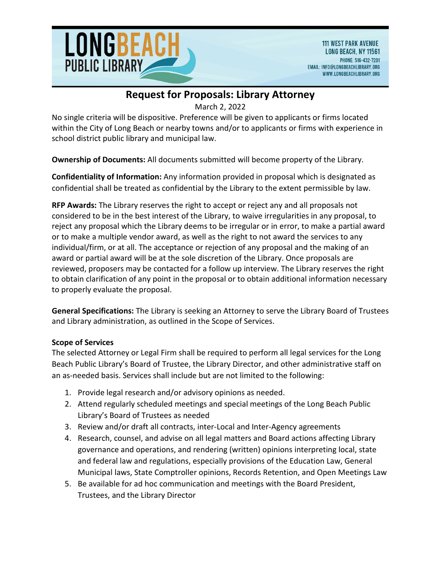

March 2, 2022

No single criteria will be dispositive. Preference will be given to applicants or firms located within the City of Long Beach or nearby towns and/or to applicants or firms with experience in school district public library and municipal law.

**Ownership of Documents:** All documents submitted will become property of the Library.

**Confidentiality of Information:** Any information provided in proposal which is designated as confidential shall be treated as confidential by the Library to the extent permissible by law.

**RFP Awards:** The Library reserves the right to accept or reject any and all proposals not considered to be in the best interest of the Library, to waive irregularities in any proposal, to reject any proposal which the Library deems to be irregular or in error, to make a partial award or to make a multiple vendor award, as well as the right to not award the services to any individual/firm, or at all. The acceptance or rejection of any proposal and the making of an award or partial award will be at the sole discretion of the Library. Once proposals are reviewed, proposers may be contacted for a follow up interview. The Library reserves the right to obtain clarification of any point in the proposal or to obtain additional information necessary to properly evaluate the proposal.

**General Specifications:** The Library is seeking an Attorney to serve the Library Board of Trustees and Library administration, as outlined in the Scope of Services.

### **Scope of Services**

The selected Attorney or Legal Firm shall be required to perform all legal services for the Long Beach Public Library's Board of Trustee, the Library Director, and other administrative staff on an as-needed basis. Services shall include but are not limited to the following:

- 1. Provide legal research and/or advisory opinions as needed.
- 2. Attend regularly scheduled meetings and special meetings of the Long Beach Public Library's Board of Trustees as needed
- 3. Review and/or draft all contracts, inter-Local and Inter-Agency agreements
- 4. Research, counsel, and advise on all legal matters and Board actions affecting Library governance and operations, and rendering (written) opinions interpreting local, state and federal law and regulations, especially provisions of the Education Law, General Municipal laws, State Comptroller opinions, Records Retention, and Open Meetings Law
- 5. Be available for ad hoc communication and meetings with the Board President, Trustees, and the Library Director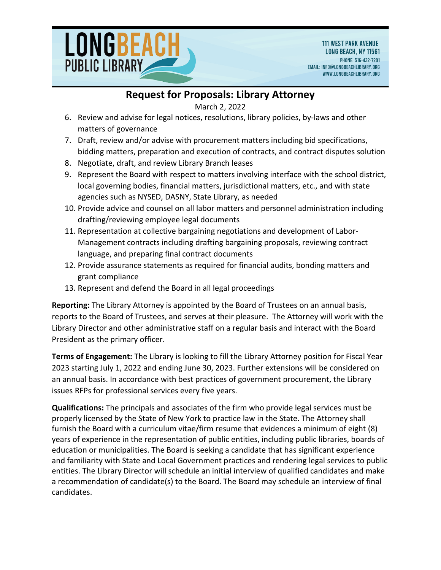

March 2, 2022

- 6. Review and advise for legal notices, resolutions, library policies, by-laws and other matters of governance
- 7. Draft, review and/or advise with procurement matters including bid specifications, bidding matters, preparation and execution of contracts, and contract disputes solution
- 8. Negotiate, draft, and review Library Branch leases
- 9. Represent the Board with respect to matters involving interface with the school district, local governing bodies, financial matters, jurisdictional matters, etc., and with state agencies such as NYSED, DASNY, State Library, as needed
- 10. Provide advice and counsel on all labor matters and personnel administration including drafting/reviewing employee legal documents
- 11. Representation at collective bargaining negotiations and development of Labor-Management contracts including drafting bargaining proposals, reviewing contract language, and preparing final contract documents
- 12. Provide assurance statements as required for financial audits, bonding matters and grant compliance
- 13. Represent and defend the Board in all legal proceedings

**Reporting:** The Library Attorney is appointed by the Board of Trustees on an annual basis, reports to the Board of Trustees, and serves at their pleasure. The Attorney will work with the Library Director and other administrative staff on a regular basis and interact with the Board President as the primary officer.

**Terms of Engagement:** The Library is looking to fill the Library Attorney position for Fiscal Year 2023 starting July 1, 2022 and ending June 30, 2023. Further extensions will be considered on an annual basis. In accordance with best practices of government procurement, the Library issues RFPs for professional services every five years.

**Qualifications:** The principals and associates of the firm who provide legal services must be properly licensed by the State of New York to practice law in the State. The Attorney shall furnish the Board with a curriculum vitae/firm resume that evidences a minimum of eight (8) years of experience in the representation of public entities, including public libraries, boards of education or municipalities. The Board is seeking a candidate that has significant experience and familiarity with State and Local Government practices and rendering legal services to public entities. The Library Director will schedule an initial interview of qualified candidates and make a recommendation of candidate(s) to the Board. The Board may schedule an interview of final candidates.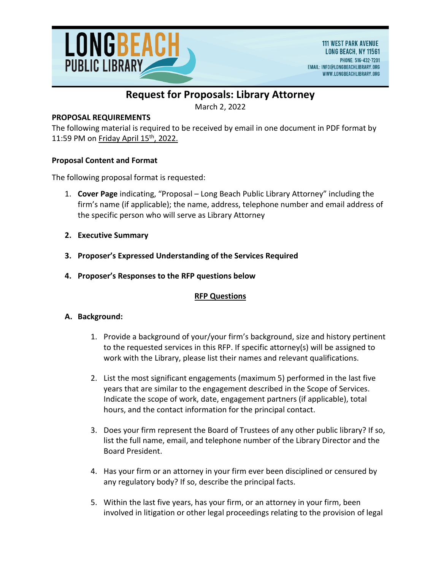

March 2, 2022

### **PROPOSAL REQUIREMENTS**

The following material is required to be received by email in one document in PDF format by 11:59 PM on Friday April  $15<sup>th</sup>$ , 2022.

#### **Proposal Content and Format**

The following proposal format is requested:

- 1. **Cover Page** indicating, "Proposal Long Beach Public Library Attorney" including the firm's name (if applicable); the name, address, telephone number and email address of the specific person who will serve as Library Attorney
- **2. Executive Summary**
- **3. Proposer's Expressed Understanding of the Services Required**
- **4. Proposer's Responses to the RFP questions below**

### **RFP Questions**

#### **A. Background:**

- 1. Provide a background of your/your firm's background, size and history pertinent to the requested services in this RFP. If specific attorney(s) will be assigned to work with the Library, please list their names and relevant qualifications.
- 2. List the most significant engagements (maximum 5) performed in the last five years that are similar to the engagement described in the Scope of Services. Indicate the scope of work, date, engagement partners (if applicable), total hours, and the contact information for the principal contact.
- 3. Does your firm represent the Board of Trustees of any other public library? If so, list the full name, email, and telephone number of the Library Director and the Board President.
- 4. Has your firm or an attorney in your firm ever been disciplined or censured by any regulatory body? If so, describe the principal facts.
- 5. Within the last five years, has your firm, or an attorney in your firm, been involved in litigation or other legal proceedings relating to the provision of legal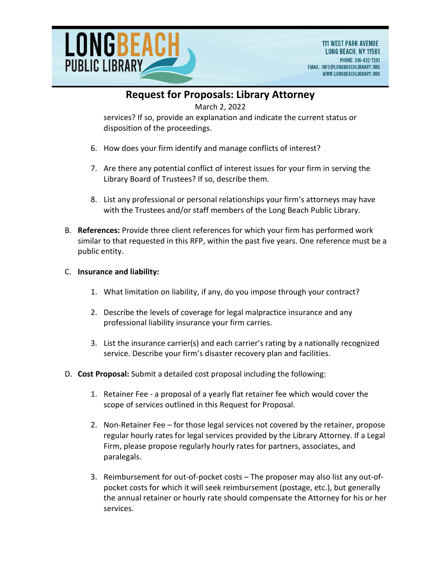

March 2, 2022

services? If so, provide an explanation and indicate the current status or disposition of the proceedings.

- 6. How does your firm identify and manage conflicts of interest?
- 7. Are there any potential conflict of interest issues for your firm in serving the Library Board of Trustees? If so, describe them.
- 8. List any professional or personal relationships your firm's attorneys may have with the Trustees and/or staff members of the Long Beach Public Library.
- B. **References:** Provide three client references for which your firm has performed work similar to that requested in this RFP, within the past five years. One reference must be a public entity.

### C. **Insurance and liability:**

- 1. What limitation on liability, if any, do you impose through your contract?
- 2. Describe the levels of coverage for legal malpractice insurance and any professional liability insurance your firm carries.
- 3. List the insurance carrier(s) and each carrier's rating by a nationally recognized service. Describe your firm's disaster recovery plan and facilities.
- D. **Cost Proposal:** Submit a detailed cost proposal including the following:
	- 1. Retainer Fee a proposal of a yearly flat retainer fee which would cover the scope of services outlined in this Request for Proposal.
	- 2. Non-Retainer Fee for those legal services not covered by the retainer, propose regular hourly rates for legal services provided by the Library Attorney. If a Legal Firm, please propose regularly hourly rates for partners, associates, and paralegals.
	- 3. Reimbursement for out-of-pocket costs The proposer may also list any out-ofpocket costs for which it will seek reimbursement (postage, etc.), but generally the annual retainer or hourly rate should compensate the Attorney for his or her services.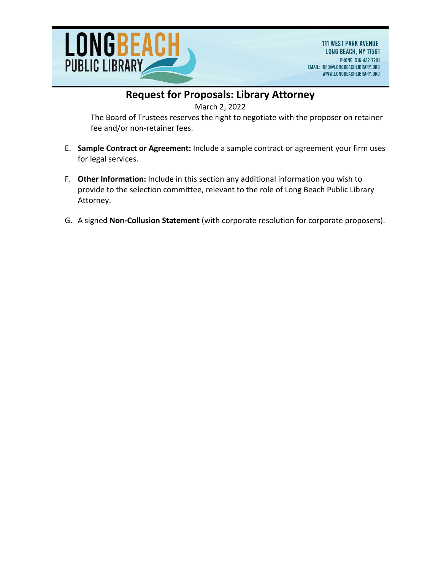

March 2, 2022

The Board of Trustees reserves the right to negotiate with the proposer on retainer fee and/or non-retainer fees.

- E. **Sample Contract or Agreement:** Include a sample contract or agreement your firm uses for legal services.
- F. **Other Information:** Include in this section any additional information you wish to provide to the selection committee, relevant to the role of Long Beach Public Library Attorney.
- G. A signed **Non-Collusion Statement** (with corporate resolution for corporate proposers).